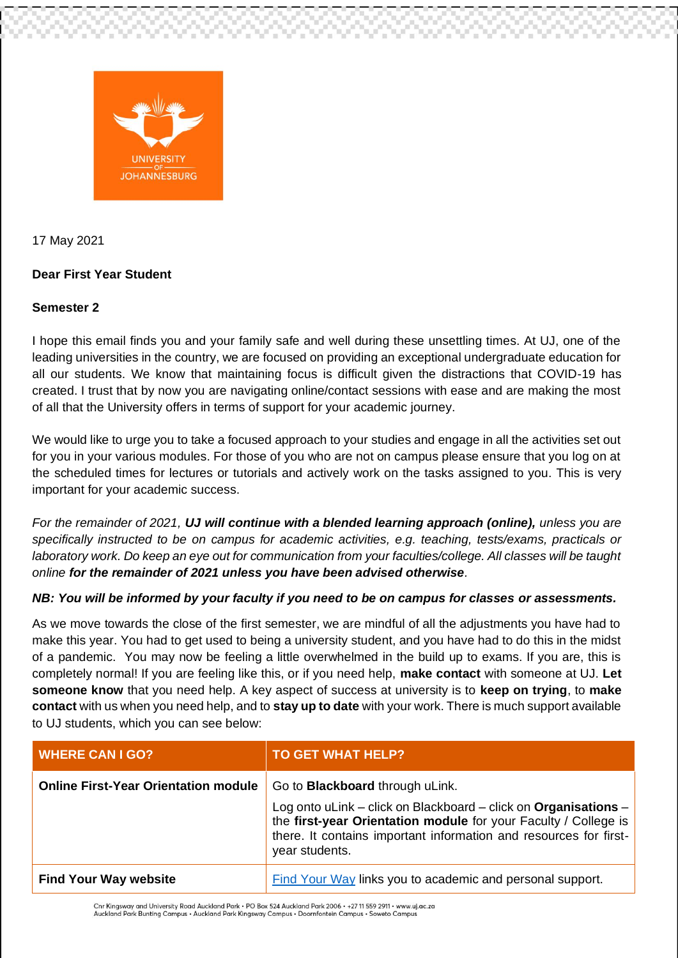

17 May 2021

## **Dear First Year Student**

## **Semester 2**

I hope this email finds you and your family safe and well during these unsettling times. At UJ, one of the leading universities in the country, we are focused on providing an exceptional undergraduate education for all our students. We know that maintaining focus is difficult given the distractions that COVID-19 has created. I trust that by now you are navigating online/contact sessions with ease and are making the most of all that the University offers in terms of support for your academic journey.

We would like to urge you to take a focused approach to your studies and engage in all the activities set out for you in your various modules. For those of you who are not on campus please ensure that you log on at the scheduled times for lectures or tutorials and actively work on the tasks assigned to you. This is very important for your academic success.

*For the remainder of 2021, UJ will continue with a blended learning approach (online), unless you are specifically instructed to be on campus for academic activities, e.g. teaching, tests/exams, practicals or laboratory work. Do keep an eye out for communication from your faculties/college. All classes will be taught online for the remainder of 2021 unless you have been advised otherwise.*

## *NB: You will be informed by your faculty if you need to be on campus for classes or assessments.*

As we move towards the close of the first semester, we are mindful of all the adjustments you have had to make this year. You had to get used to being a university student, and you have had to do this in the midst of a pandemic. You may now be feeling a little overwhelmed in the build up to exams. If you are, this is completely normal! If you are feeling like this, or if you need help, **make contact** with someone at UJ. **Let someone know** that you need help. A key aspect of success at university is to **keep on trying**, to **make contact** with us when you need help, and to **stay up to date** with your work. There is much support available to UJ students, which you can see below:

| <b>WHERE CAN I GO?</b>                      | <b>TO GET WHAT HELP?</b>                                                                                                                                                                                                                                            |
|---------------------------------------------|---------------------------------------------------------------------------------------------------------------------------------------------------------------------------------------------------------------------------------------------------------------------|
| <b>Online First-Year Orientation module</b> | Go to <b>Blackboard</b> through uLink.<br>Log onto uLink – click on Blackboard – click on Organisations –<br>the first-year Orientation module for your Faculty / College is<br>there. It contains important information and resources for first-<br>year students. |
| <b>Find Your Way website</b>                | Find Your Way links you to academic and personal support.                                                                                                                                                                                                           |

Cnr Kingsway and University Road Auckland Park · PO Box 524 Auckland Park 2006 · +27 11 559 2911 · www.uj.ac.za Auckland Park Bunting Campus . Auckland Park Kingsway Campus . Doornfontein Campus . Soweto Campus